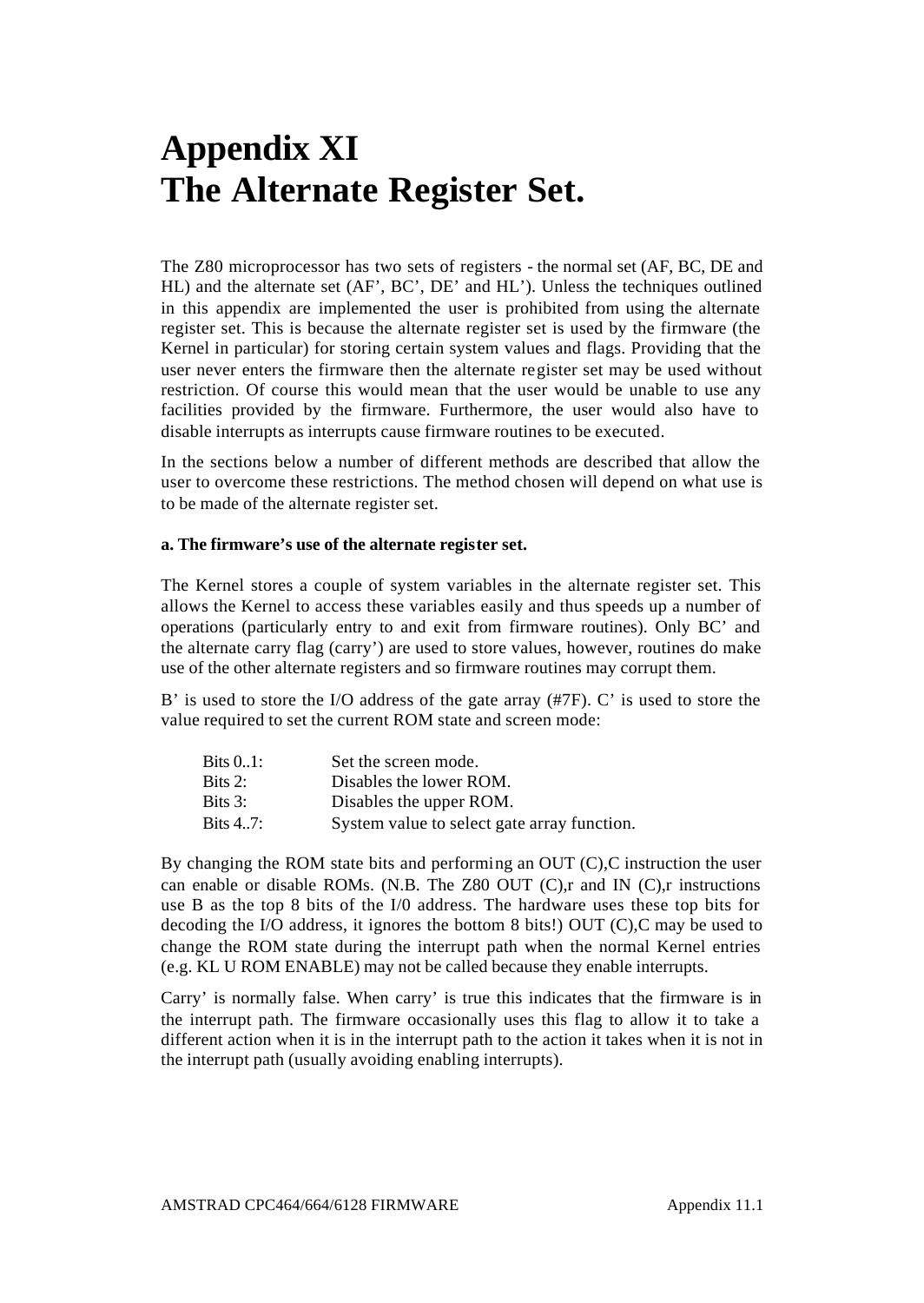# **Appendix XI The Alternate Register Set.**

The Z80 microprocessor has two sets of registers - the normal set (AF, BC, DE and HL) and the alternate set (AF', BC', DE' and HL'). Unless the techniques outlined in this appendix are implemented the user is prohibited from using the alternate register set. This is because the alternate register set is used by the firmware (the Kernel in particular) for storing certain system values and flags. Providing that the user never enters the firmware then the alternate register set may be used without restriction. Of course this would mean that the user would be unable to use any facilities provided by the firmware. Furthermore, the user would also have to disable interrupts as interrupts cause firmware routines to be executed.

In the sections below a number of different methods are described that allow the user to overcome these restrictions. The method chosen will depend on what use is to be made of the alternate register set.

## **a. The firmware's use of the alternate register set.**

The Kernel stores a couple of system variables in the alternate register set. This allows the Kernel to access these variables easily and thus speeds up a number of operations (particularly entry to and exit from firmware routines). Only BC' and the alternate carry flag (carry') are used to store values, however, routines do make use of the other alternate registers and so firmware routines may corrupt them.

B' is used to store the I/O address of the gate array (#7F). C' is used to store the value required to set the current ROM state and screen mode:

| Bits 01: | Set the screen mode.                        |
|----------|---------------------------------------------|
| Bits 2:  | Disables the lower ROM.                     |
| Bits 3:  | Disables the upper ROM.                     |
| Bits 47: | System value to select gate array function. |

By changing the ROM state bits and performing an OUT (C),C instruction the user can enable or disable ROMs. (N.B. The Z80 OUT (C),r and IN (C),r instructions use B as the top 8 bits of the I/0 address. The hardware uses these top bits for decoding the I/O address, it ignores the bottom 8 bits!) OUT (C),C may be used to change the ROM state during the interrupt path when the normal Kernel entries (e.g. KL U ROM ENABLE) may not be called because they enable interrupts.

Carry' is normally false. When carry' is true this indicates that the firmware is in the interrupt path. The firmware occasionally uses this flag to allow it to take a different action when it is in the interrupt path to the action it takes when it is not in the interrupt path (usually avoiding enabling interrupts).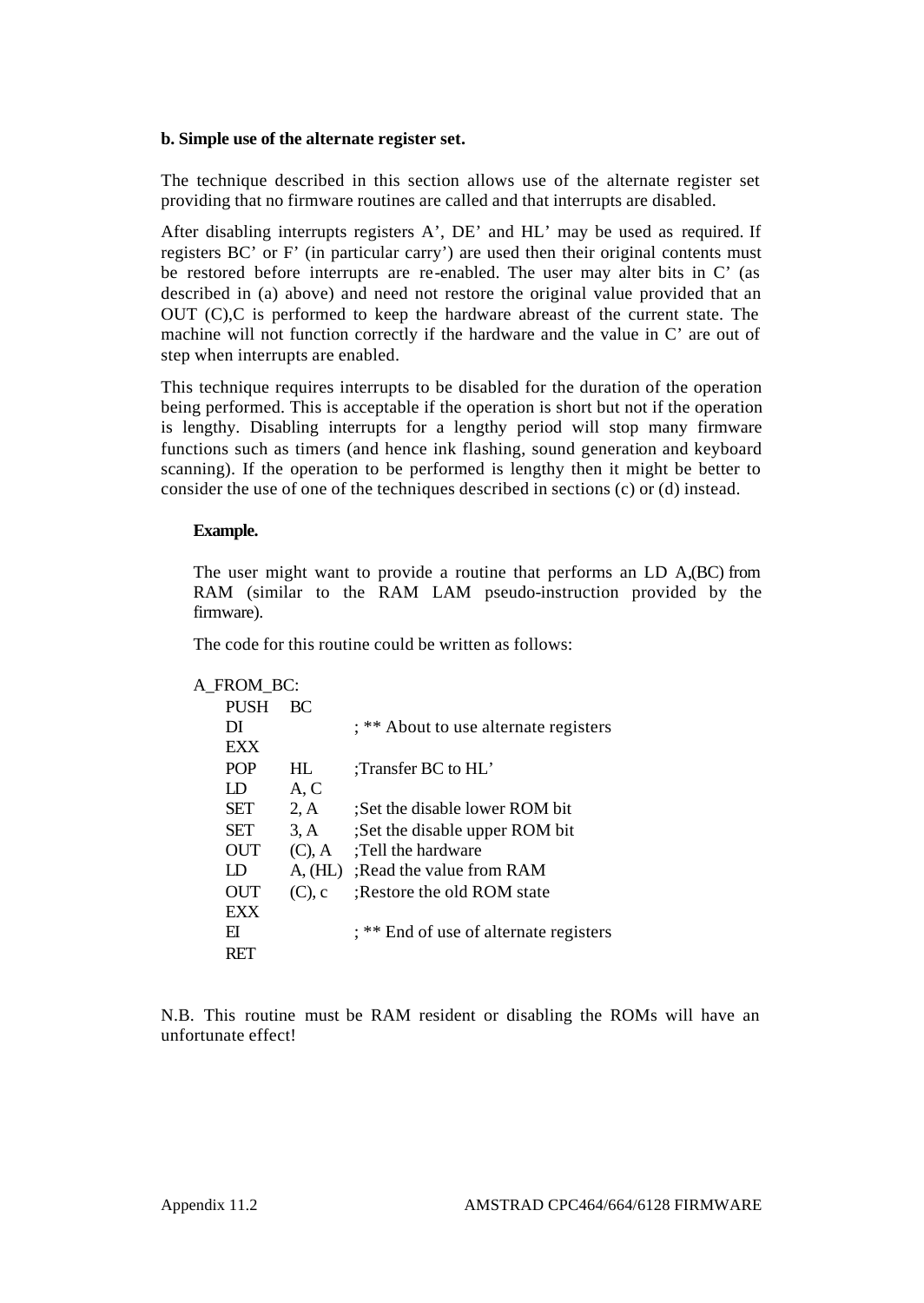## **b. Simple use of the alternate register set.**

The technique described in this section allows use of the alternate register set providing that no firmware routines are called and that interrupts are disabled.

After disabling interrupts registers A', DE' and HL' may be used as required. If registers BC' or F' (in particular carry') are used then their original contents must be restored before interrupts are re-enabled. The user may alter bits in C' (as described in (a) above) and need not restore the original value provided that an OUT (C),C is performed to keep the hardware abreast of the current state. The machine will not function correctly if the hardware and the value in C' are out of step when interrupts are enabled.

This technique requires interrupts to be disabled for the duration of the operation being performed. This is acceptable if the operation is short but not if the operation is lengthy. Disabling interrupts for a lengthy period will stop many firmware functions such as timers (and hence ink flashing, sound generation and keyboard scanning). If the operation to be performed is lengthy then it might be better to consider the use of one of the techniques described in sections (c) or (d) instead.

# **Example.**

The user might want to provide a routine that performs an LD A,(BC) from RAM (similar to the RAM LAM pseudo-instruction provided by the firmware).

The code for this routine could be written as follows:

#### A\_FROM\_BC:

| <b>PUSH</b> | BС        |                                        |
|-------------|-----------|----------------------------------------|
| DI          |           | ; ** About to use alternate registers  |
| EXX         |           |                                        |
| <b>POP</b>  | HL.       | :Transfer $BC$ to $HL'$                |
| Ð           | A, C      |                                        |
| SET         | 2, A      | Set the disable lower ROM bit          |
| SET         | 3, A      | Set the disable upper ROM bit          |
| OUT         | $(C)$ , A | :Tell the hardware                     |
| ΙD          | A, (HL)   | Read the value from RAM                |
| OUT         | $(C)$ , c | Restore the old ROM state              |
| <b>FXX</b>  |           |                                        |
| FI          |           | : ** End of use of alternate registers |
|             |           |                                        |

N.B. This routine must be RAM resident or disabling the ROMs will have an unfortunate effect!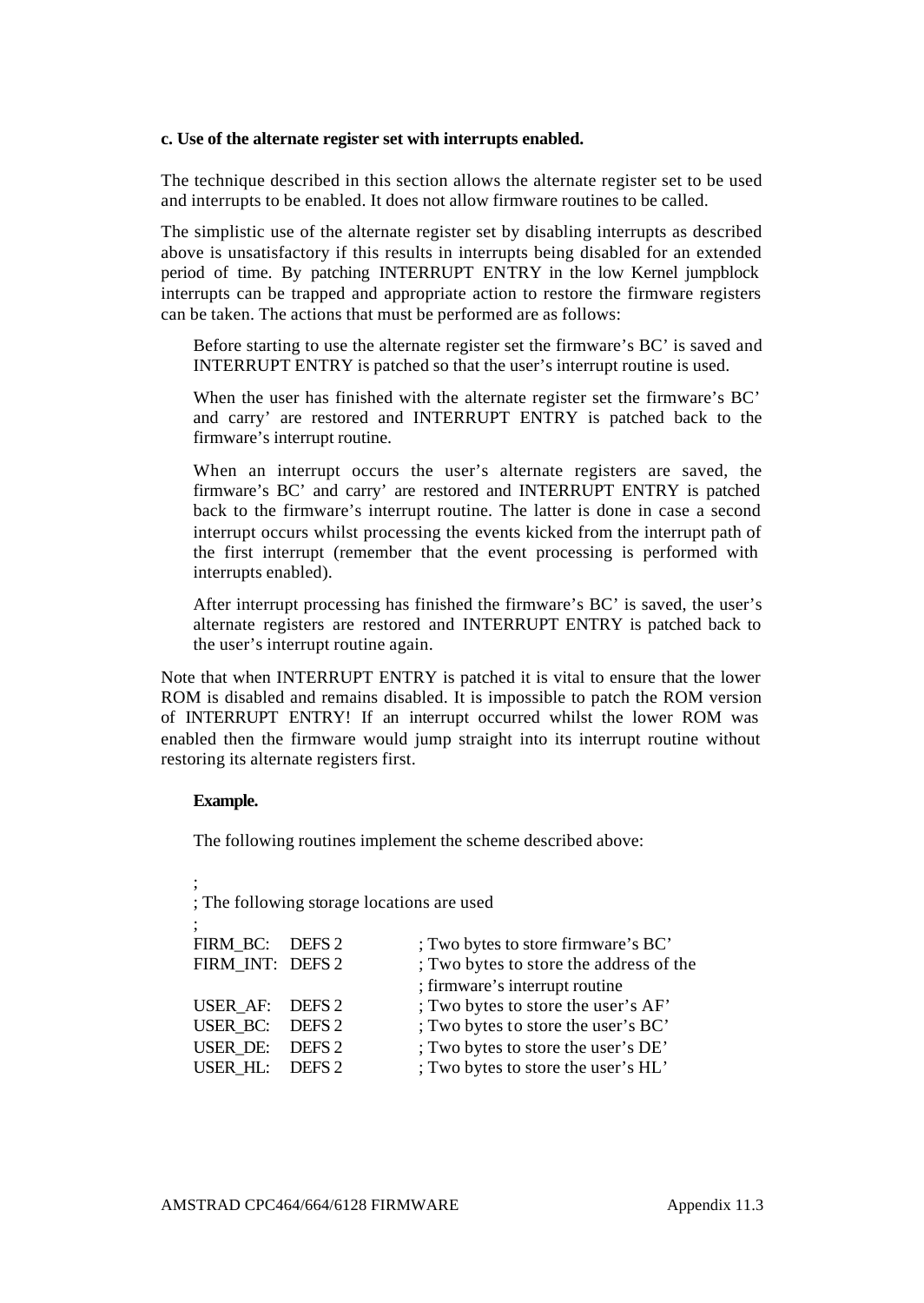## **c. Use of the alternate register set with interrupts enabled.**

The technique described in this section allows the alternate register set to be used and interrupts to be enabled. It does not allow firmware routines to be called.

The simplistic use of the alternate register set by disabling interrupts as described above is unsatisfactory if this results in interrupts being disabled for an extended period of time. By patching INTERRUPT ENTRY in the low Kernel jumpblock interrupts can be trapped and appropriate action to restore the firmware registers can be taken. The actions that must be performed are as follows:

Before starting to use the alternate register set the firmware's BC' is saved and INTERRUPT ENTRY is patched so that the user's interrupt routine is used.

When the user has finished with the alternate register set the firmware's BC' and carry' are restored and INTERRUPT ENTRY is patched back to the firmware's interrupt routine.

When an interrupt occurs the user's alternate registers are saved, the firmware's BC' and carry' are restored and INTERRUPT ENTRY is patched back to the firmware's interrupt routine. The latter is done in case a second interrupt occurs whilst processing the events kicked from the interrupt path of the first interrupt (remember that the event processing is performed with interrupts enabled).

After interrupt processing has finished the firmware's BC' is saved, the user's alternate registers are restored and INTERRUPT ENTRY is patched back to the user's interrupt routine again.

Note that when INTERRUPT ENTRY is patched it is vital to ensure that the lower ROM is disabled and remains disabled. It is impossible to patch the ROM version of INTERRUPT ENTRY! If an interrupt occurred whilst the lower ROM was enabled then the firmware would jump straight into its interrupt routine without restoring its alternate registers first.

# **Example.**

;

The following routines implement the scheme described above:

; The following storage locations are used ; FIRM BC: DEFS 2 ; Two bytes to store firmware's BC' FIRM INT: DEFS 2 : Two bytes to store the address of the ; firmware's interrupt routine USER  $AF:$  DEFS 2 ; Two bytes to store the user's  $AF'$ USER\_BC: DEFS 2 ; Two bytes to store the user's BC' USER\_DE: DEFS 2 ; Two bytes to store the user's DE'<br>USER HL: DEFS 2 : Two bytes to store the user's HL' ; Two bytes to store the user's HL'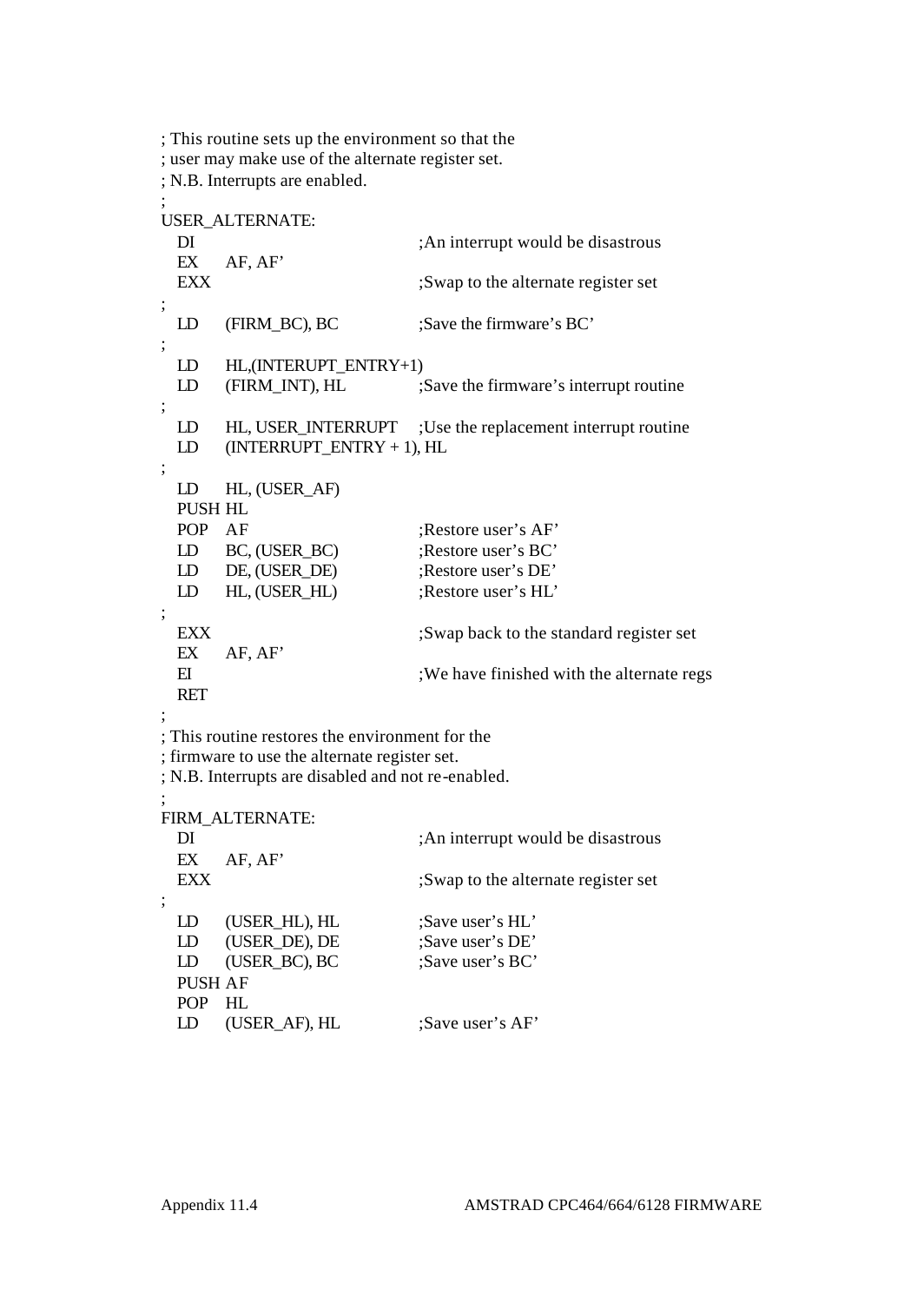; This routine sets up the environment so that the ; user may make use of the alternate register set. ; N.B. Interrupts are enabled. ; USER\_ALTERNATE: DI ;An interrupt would be disastrous EX AF, AF' EXX ;Swap to the alternate register set ; LD (FIRM BC), BC ;Save the firmware's BC' ; LD HL, (INTERUPT\_ENTRY+1) LD (FIRM INT), HL ;Save the firmware's interrupt routine ; LD HL, USER\_INTERRUPT ;Use the replacement interrupt routine LD (INTERRUPT\_ENTRY + 1), HL ; LD HL, (USER\_AF) PUSH HL POP AF :Restore user's AF' LD BC, (USER\_BC) ;Restore user's BC' LD DE, (USER\_DE) ;Restore user's DE' LD HL, (USER\_HL) ;Restore user's HL' ; EXX ;Swap back to the standard register set EX AF, AF' EI : We have finished with the alternate regs RET ; ; This routine restores the environment for the ; firmware to use the alternate register set. ; N.B. Interrupts are disabled and not re-enabled. ; FIRM\_ALTERNATE: DI ;An interrupt would be disastrous EX AF, AF' EXX :Swap to the alternate register set ; LD (USER\_HL), HL ;Save user's HL' LD (USER DE), DE :Save user's DE' LD (USER BC), BC ;Save user's BC' PUSH AF POP HL LD (USER AF), HL ;Save user's AF'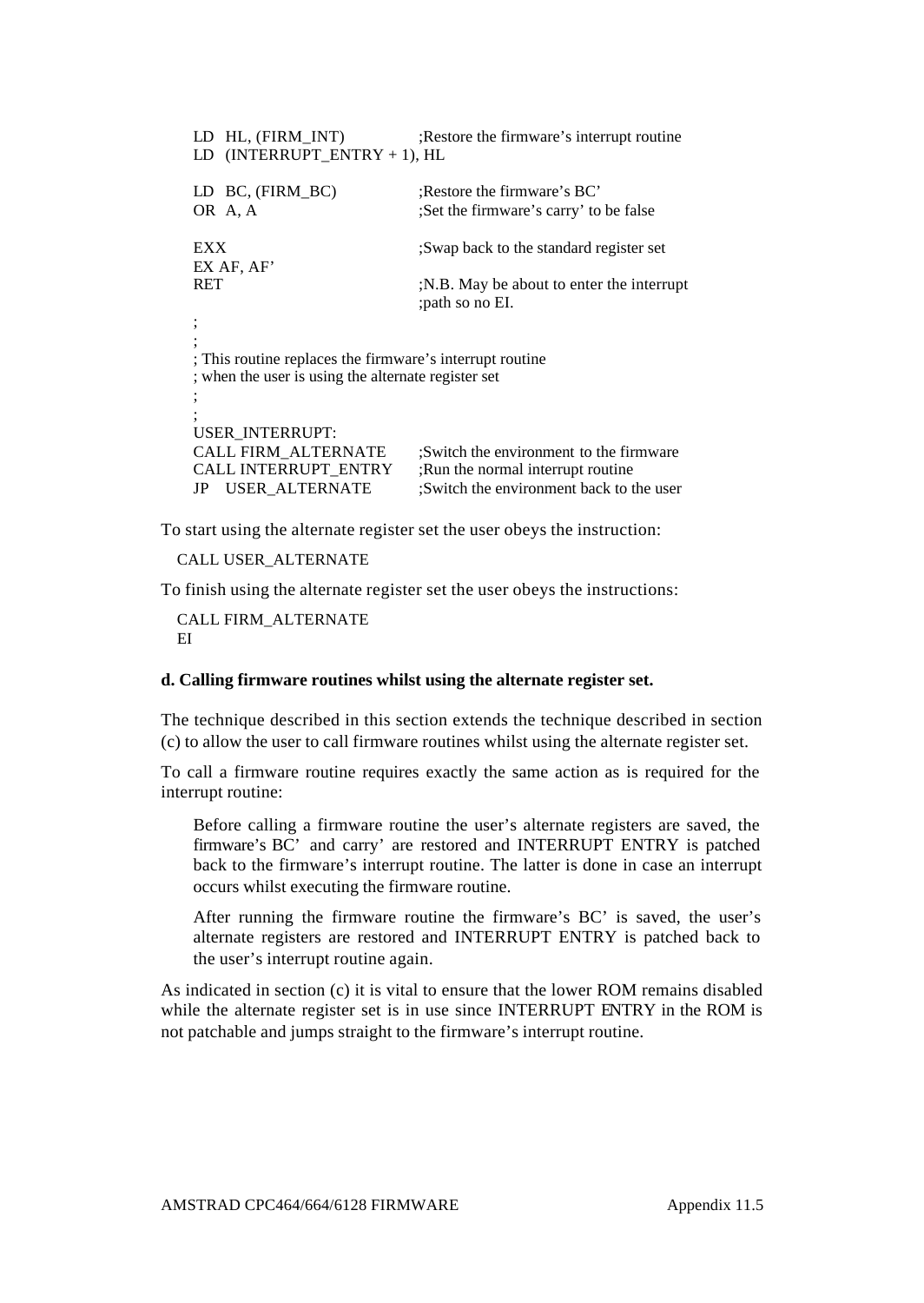| HL, (FIRM INT)<br>LD.<br>$(INTERRUPT ENTRY + 1), HL$<br>LD.                                                     | Restore the firmware's interrupt routine                                                                                 |  |  |  |  |
|-----------------------------------------------------------------------------------------------------------------|--------------------------------------------------------------------------------------------------------------------------|--|--|--|--|
| LD BC, (FIRM BC)<br>OR A, A                                                                                     | Restore the firmware's BC.<br>Set the firmware's carry' to be false                                                      |  |  |  |  |
| EXX<br>EX AF, AF'                                                                                               | Swap back to the standard register set                                                                                   |  |  |  |  |
| RET                                                                                                             | N.B. May be about to enter the interrupt<br>; path so no EI.                                                             |  |  |  |  |
| ; This routine replaces the firmware's interrupt routine<br>; when the user is using the alternate register set |                                                                                                                          |  |  |  |  |
|                                                                                                                 |                                                                                                                          |  |  |  |  |
| USER INTERRUPT:<br><b>CALL FIRM ALTERNATE</b><br><b>CALL INTERRUPT ENTRY</b><br><b>USER_ALTERNATE</b><br>JP     | :Switch the environment to the firmware<br>:Run the normal interrupt routine<br>:Switch the environment back to the user |  |  |  |  |

To start using the alternate register set the user obeys the instruction:

CALL USER\_ALTERNATE

To finish using the alternate register set the user obeys the instructions:

CALL FIRM\_ALTERNATE EI

# **d. Calling firmware routines whilst using the alternate register set.**

The technique described in this section extends the technique described in section (c) to allow the user to call firmware routines whilst using the alternate register set.

To call a firmware routine requires exactly the same action as is required for the interrupt routine:

Before calling a firmware routine the user's alternate registers are saved, the firmware's BC' and carry' are restored and INTERRUPT ENTRY is patched back to the firmware's interrupt routine. The latter is done in case an interrupt occurs whilst executing the firmware routine.

After running the firmware routine the firmware's BC' is saved, the user's alternate registers are restored and INTERRUPT ENTRY is patched back to the user's interrupt routine again.

As indicated in section (c) it is vital to ensure that the lower ROM remains disabled while the alternate register set is in use since INTERRUPT ENTRY in the ROM is not patchable and jumps straight to the firmware's interrupt routine.